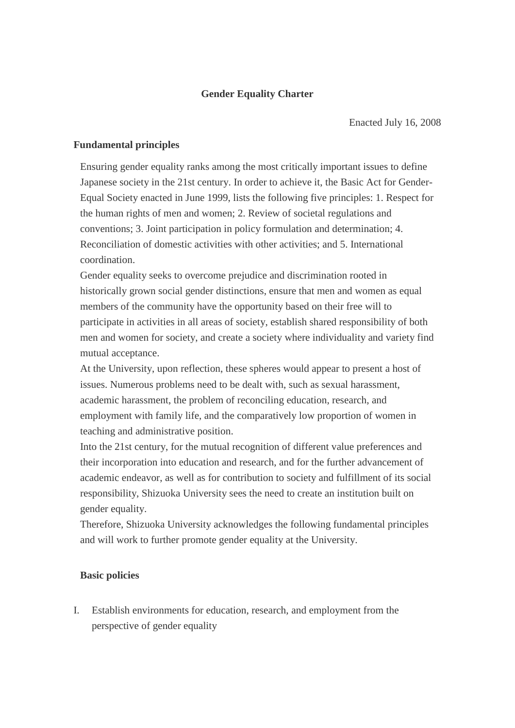## **Gender Equality Charter**

Enacted July 16, 2008

## **Fundamental principles**

Ensuring gender equality ranks among the most critically important issues to define Japanese society in the 21st century. In order to achieve it, the Basic Act for Gender-Equal Society enacted in June 1999, lists the following five principles: 1. Respect for the human rights of men and women; 2. Review of societal regulations and conventions; 3. Joint participation in policy formulation and determination; 4. Reconciliation of domestic activities with other activities; and 5. International coordination.

Gender equality seeks to overcome prejudice and discrimination rooted in historically grown social gender distinctions, ensure that men and women as equal members of the community have the opportunity based on their free will to participate in activities in all areas of society, establish shared responsibility of both men and women for society, and create a society where individuality and variety find mutual acceptance.

At the University, upon reflection, these spheres would appear to present a host of issues. Numerous problems need to be dealt with, such as sexual harassment, academic harassment, the problem of reconciling education, research, and employment with family life, and the comparatively low proportion of women in teaching and administrative position.

Into the 21st century, for the mutual recognition of different value preferences and their incorporation into education and research, and for the further advancement of academic endeavor, as well as for contribution to society and fulfillment of its social responsibility, Shizuoka University sees the need to create an institution built on gender equality.

Therefore, Shizuoka University acknowledges the following fundamental principles and will work to further promote gender equality at the University.

## **Basic policies**

I. Establish environments for education, research, and employment from the perspective of gender equality